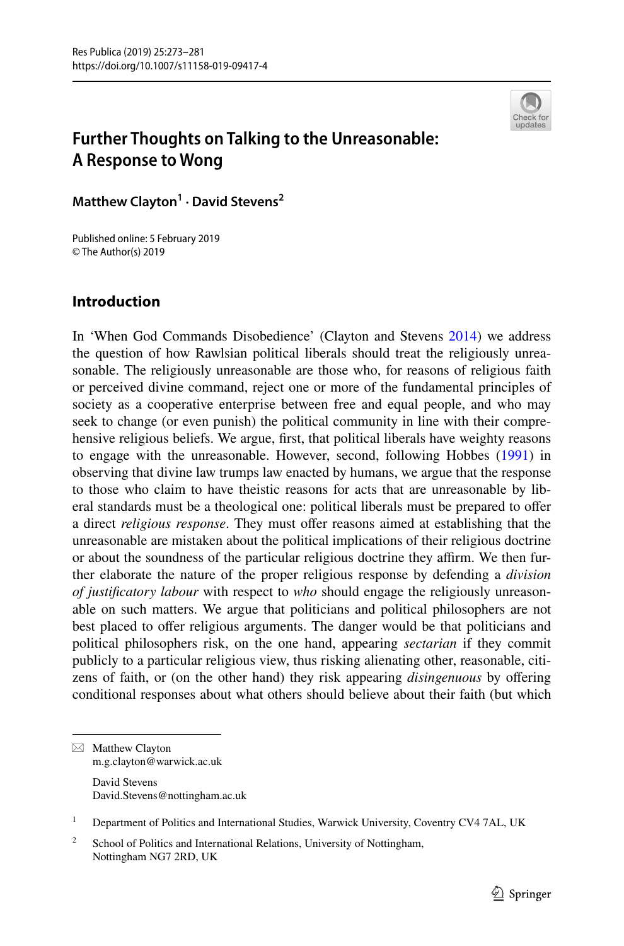

# **Further Thoughts on Talking to the Unreasonable: A Response to Wong**

**Matthew Clayton1 · David Stevens<sup>2</sup>**

Published online: 5 February 2019 © The Author(s) 2019

# **Introduction**

In 'When God Commands Disobedience' (Clayton and Stevens [2014](#page-8-0)) we address the question of how Rawlsian political liberals should treat the religiously unreasonable. The religiously unreasonable are those who, for reasons of religious faith or perceived divine command, reject one or more of the fundamental principles of society as a cooperative enterprise between free and equal people, and who may seek to change (or even punish) the political community in line with their comprehensive religious beliefs. We argue, frst, that political liberals have weighty reasons to engage with the unreasonable. However, second, following Hobbes ([1991\)](#page-8-1) in observing that divine law trumps law enacted by humans, we argue that the response to those who claim to have theistic reasons for acts that are unreasonable by liberal standards must be a theological one: political liberals must be prepared to ofer a direct *religious response*. They must offer reasons aimed at establishing that the unreasonable are mistaken about the political implications of their religious doctrine or about the soundness of the particular religious doctrine they affirm. We then further elaborate the nature of the proper religious response by defending a *division of justifcatory labour* with respect to *who* should engage the religiously unreasonable on such matters. We argue that politicians and political philosophers are not best placed to offer religious arguments. The danger would be that politicians and political philosophers risk, on the one hand, appearing *sectarian* if they commit publicly to a particular religious view, thus risking alienating other, reasonable, citizens of faith, or (on the other hand) they risk appearing *disingenuous* by ofering conditional responses about what others should believe about their faith (but which

 $\boxtimes$  Matthew Clayton m.g.clayton@warwick.ac.uk

David Stevens David.Stevens@nottingham.ac.uk

<sup>1</sup> Department of Politics and International Studies, Warwick University, Coventry CV4 7AL, UK

<sup>2</sup> School of Politics and International Relations, University of Nottingham, Nottingham NG7 2RD, UK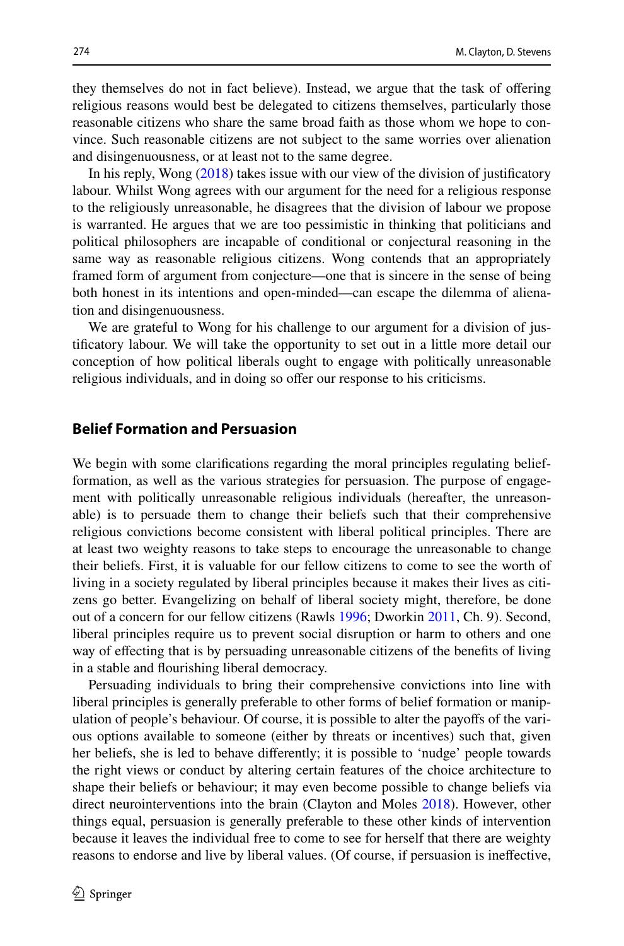they themselves do not in fact believe). Instead, we argue that the task of ofering religious reasons would best be delegated to citizens themselves, particularly those reasonable citizens who share the same broad faith as those whom we hope to convince. Such reasonable citizens are not subject to the same worries over alienation and disingenuousness, or at least not to the same degree.

In his reply, Wong [\(2018](#page-8-2)) takes issue with our view of the division of justifcatory labour. Whilst Wong agrees with our argument for the need for a religious response to the religiously unreasonable, he disagrees that the division of labour we propose is warranted. He argues that we are too pessimistic in thinking that politicians and political philosophers are incapable of conditional or conjectural reasoning in the same way as reasonable religious citizens. Wong contends that an appropriately framed form of argument from conjecture—one that is sincere in the sense of being both honest in its intentions and open-minded—can escape the dilemma of alienation and disingenuousness.

We are grateful to Wong for his challenge to our argument for a division of justifcatory labour. We will take the opportunity to set out in a little more detail our conception of how political liberals ought to engage with politically unreasonable religious individuals, and in doing so offer our response to his criticisms.

## **Belief Formation and Persuasion**

We begin with some clarifications regarding the moral principles regulating beliefformation, as well as the various strategies for persuasion. The purpose of engagement with politically unreasonable religious individuals (hereafter, the unreasonable) is to persuade them to change their beliefs such that their comprehensive religious convictions become consistent with liberal political principles. There are at least two weighty reasons to take steps to encourage the unreasonable to change their beliefs. First, it is valuable for our fellow citizens to come to see the worth of living in a society regulated by liberal principles because it makes their lives as citizens go better. Evangelizing on behalf of liberal society might, therefore, be done out of a concern for our fellow citizens (Rawls [1996;](#page-8-3) Dworkin [2011](#page-8-4), Ch. 9). Second, liberal principles require us to prevent social disruption or harm to others and one way of efecting that is by persuading unreasonable citizens of the benefts of living in a stable and fourishing liberal democracy.

Persuading individuals to bring their comprehensive convictions into line with liberal principles is generally preferable to other forms of belief formation or manipulation of people's behaviour. Of course, it is possible to alter the payofs of the various options available to someone (either by threats or incentives) such that, given her beliefs, she is led to behave diferently; it is possible to 'nudge' people towards the right views or conduct by altering certain features of the choice architecture to shape their beliefs or behaviour; it may even become possible to change beliefs via direct neurointerventions into the brain (Clayton and Moles [2018](#page-8-5)). However, other things equal, persuasion is generally preferable to these other kinds of intervention because it leaves the individual free to come to see for herself that there are weighty reasons to endorse and live by liberal values. (Of course, if persuasion is inefective,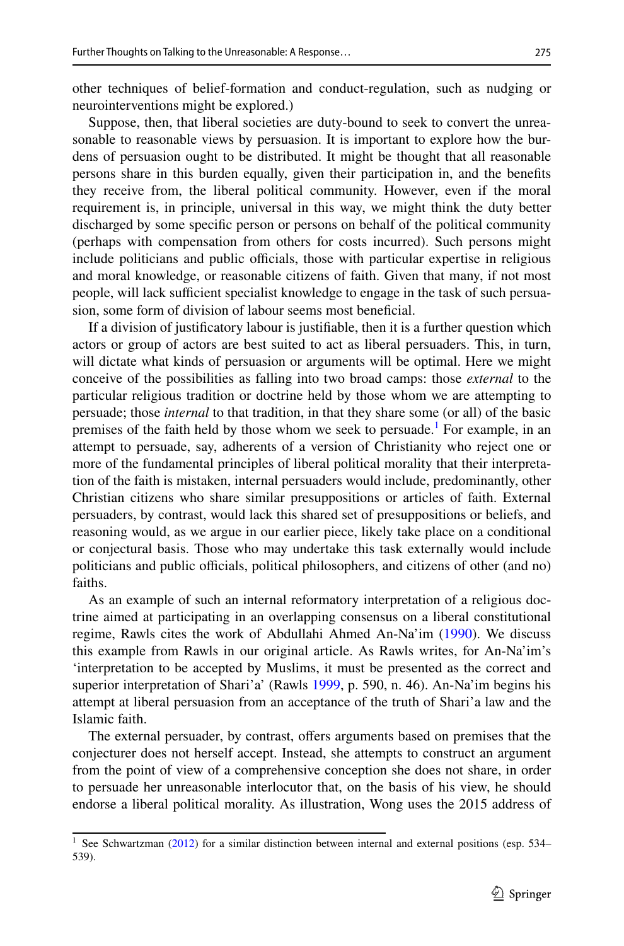other techniques of belief-formation and conduct-regulation, such as nudging or neurointerventions might be explored.)

Suppose, then, that liberal societies are duty-bound to seek to convert the unreasonable to reasonable views by persuasion. It is important to explore how the burdens of persuasion ought to be distributed. It might be thought that all reasonable persons share in this burden equally, given their participation in, and the benefts they receive from, the liberal political community. However, even if the moral requirement is, in principle, universal in this way, we might think the duty better discharged by some specifc person or persons on behalf of the political community (perhaps with compensation from others for costs incurred). Such persons might include politicians and public officials, those with particular expertise in religious and moral knowledge, or reasonable citizens of faith. Given that many, if not most people, will lack sufficient specialist knowledge to engage in the task of such persuasion, some form of division of labour seems most beneficial.

If a division of justifcatory labour is justifable, then it is a further question which actors or group of actors are best suited to act as liberal persuaders. This, in turn, will dictate what kinds of persuasion or arguments will be optimal. Here we might conceive of the possibilities as falling into two broad camps: those *external* to the particular religious tradition or doctrine held by those whom we are attempting to persuade; those *internal* to that tradition, in that they share some (or all) of the basic premises of the faith held by those whom we seek to persuade.<sup>[1](#page-2-0)</sup> For example, in an attempt to persuade, say, adherents of a version of Christianity who reject one or more of the fundamental principles of liberal political morality that their interpretation of the faith is mistaken, internal persuaders would include, predominantly, other Christian citizens who share similar presuppositions or articles of faith. External persuaders, by contrast, would lack this shared set of presuppositions or beliefs, and reasoning would, as we argue in our earlier piece, likely take place on a conditional or conjectural basis. Those who may undertake this task externally would include politicians and public officials, political philosophers, and citizens of other (and no) faiths.

As an example of such an internal reformatory interpretation of a religious doctrine aimed at participating in an overlapping consensus on a liberal constitutional regime, Rawls cites the work of Abdullahi Ahmed An-Na'im ([1990\)](#page-8-6). We discuss this example from Rawls in our original article. As Rawls writes, for An-Na'im's 'interpretation to be accepted by Muslims, it must be presented as the correct and superior interpretation of Shari'a' (Rawls [1999,](#page-8-7) p. 590, n. 46). An-Na'im begins his attempt at liberal persuasion from an acceptance of the truth of Shari'a law and the Islamic faith.

The external persuader, by contrast, ofers arguments based on premises that the conjecturer does not herself accept. Instead, she attempts to construct an argument from the point of view of a comprehensive conception she does not share, in order to persuade her unreasonable interlocutor that, on the basis of his view, he should endorse a liberal political morality. As illustration, Wong uses the 2015 address of

<span id="page-2-0"></span><sup>&</sup>lt;sup>1</sup> See Schwartzman ( $2012$ ) for a similar distinction between internal and external positions (esp. 534– 539).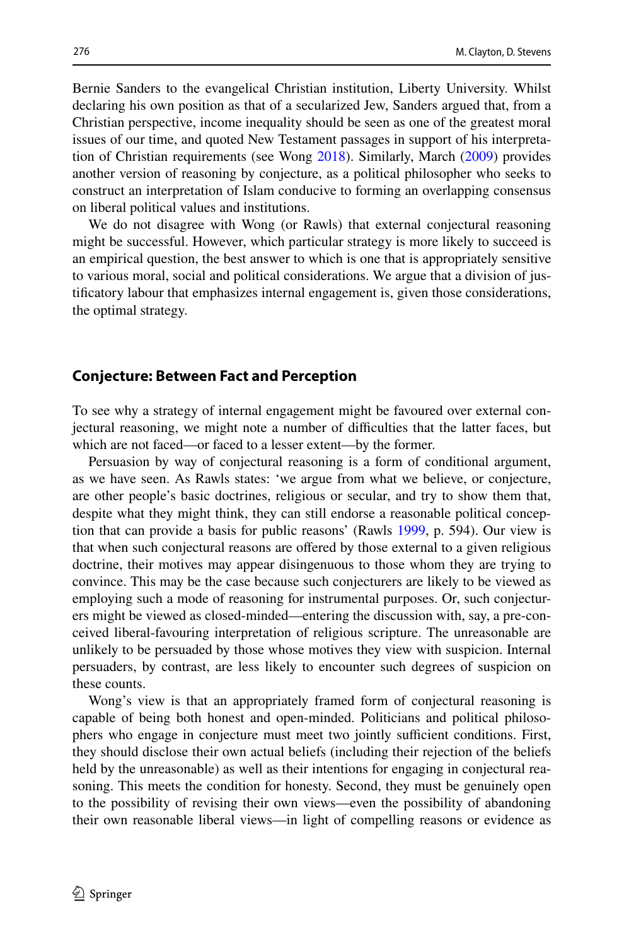Bernie Sanders to the evangelical Christian institution, Liberty University. Whilst declaring his own position as that of a secularized Jew, Sanders argued that, from a Christian perspective, income inequality should be seen as one of the greatest moral issues of our time, and quoted New Testament passages in support of his interpretation of Christian requirements (see Wong [2018\)](#page-8-2). Similarly, March ([2009\)](#page-8-9) provides another version of reasoning by conjecture, as a political philosopher who seeks to construct an interpretation of Islam conducive to forming an overlapping consensus on liberal political values and institutions.

We do not disagree with Wong (or Rawls) that external conjectural reasoning might be successful. However, which particular strategy is more likely to succeed is an empirical question, the best answer to which is one that is appropriately sensitive to various moral, social and political considerations. We argue that a division of justifcatory labour that emphasizes internal engagement is, given those considerations, the optimal strategy.

### **Conjecture: Between Fact and Perception**

To see why a strategy of internal engagement might be favoured over external conjectural reasoning, we might note a number of difculties that the latter faces, but which are not faced—or faced to a lesser extent—by the former.

Persuasion by way of conjectural reasoning is a form of conditional argument, as we have seen. As Rawls states: 'we argue from what we believe, or conjecture, are other people's basic doctrines, religious or secular, and try to show them that, despite what they might think, they can still endorse a reasonable political conception that can provide a basis for public reasons' (Rawls [1999,](#page-8-7) p. 594). Our view is that when such conjectural reasons are ofered by those external to a given religious doctrine, their motives may appear disingenuous to those whom they are trying to convince. This may be the case because such conjecturers are likely to be viewed as employing such a mode of reasoning for instrumental purposes. Or, such conjecturers might be viewed as closed-minded—entering the discussion with, say, a pre-conceived liberal-favouring interpretation of religious scripture. The unreasonable are unlikely to be persuaded by those whose motives they view with suspicion. Internal persuaders, by contrast, are less likely to encounter such degrees of suspicion on these counts.

Wong's view is that an appropriately framed form of conjectural reasoning is capable of being both honest and open-minded. Politicians and political philosophers who engage in conjecture must meet two jointly sufficient conditions. First, they should disclose their own actual beliefs (including their rejection of the beliefs held by the unreasonable) as well as their intentions for engaging in conjectural reasoning. This meets the condition for honesty. Second, they must be genuinely open to the possibility of revising their own views—even the possibility of abandoning their own reasonable liberal views—in light of compelling reasons or evidence as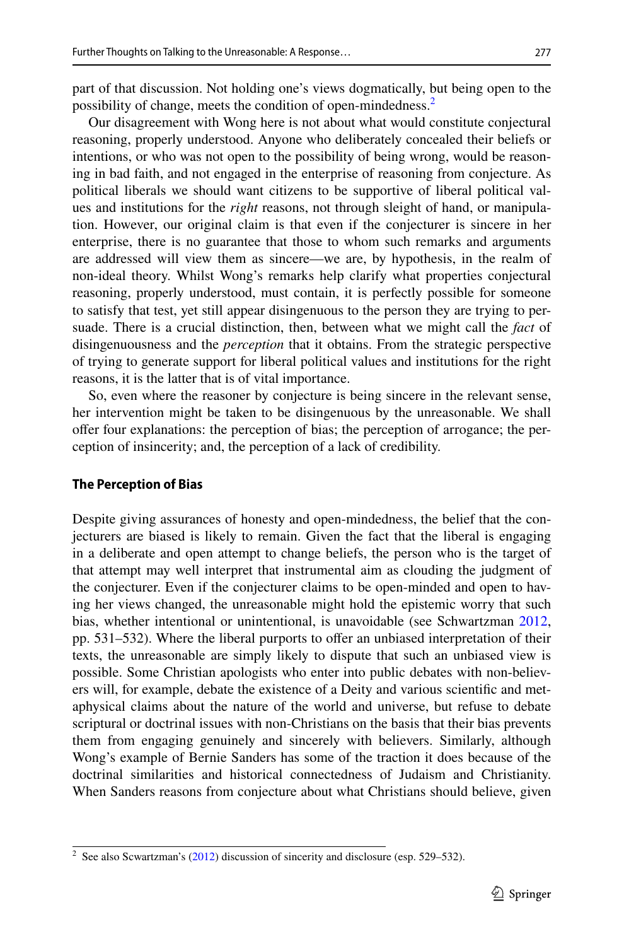part of that discussion. Not holding one's views dogmatically, but being open to the possibility of change, meets the condition of open-mindedness[.2](#page-4-0)

Our disagreement with Wong here is not about what would constitute conjectural reasoning, properly understood. Anyone who deliberately concealed their beliefs or intentions, or who was not open to the possibility of being wrong, would be reasoning in bad faith, and not engaged in the enterprise of reasoning from conjecture. As political liberals we should want citizens to be supportive of liberal political values and institutions for the *right* reasons, not through sleight of hand, or manipulation. However, our original claim is that even if the conjecturer is sincere in her enterprise, there is no guarantee that those to whom such remarks and arguments are addressed will view them as sincere—we are, by hypothesis, in the realm of non-ideal theory. Whilst Wong's remarks help clarify what properties conjectural reasoning, properly understood, must contain, it is perfectly possible for someone to satisfy that test, yet still appear disingenuous to the person they are trying to persuade. There is a crucial distinction, then, between what we might call the *fact* of disingenuousness and the *perception* that it obtains. From the strategic perspective of trying to generate support for liberal political values and institutions for the right reasons, it is the latter that is of vital importance.

So, even where the reasoner by conjecture is being sincere in the relevant sense, her intervention might be taken to be disingenuous by the unreasonable. We shall ofer four explanations: the perception of bias; the perception of arrogance; the perception of insincerity; and, the perception of a lack of credibility.

#### **The Perception of Bias**

Despite giving assurances of honesty and open-mindedness, the belief that the conjecturers are biased is likely to remain. Given the fact that the liberal is engaging in a deliberate and open attempt to change beliefs, the person who is the target of that attempt may well interpret that instrumental aim as clouding the judgment of the conjecturer. Even if the conjecturer claims to be open-minded and open to having her views changed, the unreasonable might hold the epistemic worry that such bias, whether intentional or unintentional, is unavoidable (see Schwartzman [2012,](#page-8-8) pp. 531–532). Where the liberal purports to offer an unbiased interpretation of their texts, the unreasonable are simply likely to dispute that such an unbiased view is possible. Some Christian apologists who enter into public debates with non-believers will, for example, debate the existence of a Deity and various scientifc and metaphysical claims about the nature of the world and universe, but refuse to debate scriptural or doctrinal issues with non-Christians on the basis that their bias prevents them from engaging genuinely and sincerely with believers. Similarly, although Wong's example of Bernie Sanders has some of the traction it does because of the doctrinal similarities and historical connectedness of Judaism and Christianity. When Sanders reasons from conjecture about what Christians should believe, given

<span id="page-4-0"></span><sup>&</sup>lt;sup>2</sup> See also Scwartzman's [\(2012](#page-8-8)) discussion of sincerity and disclosure (esp. 529–532).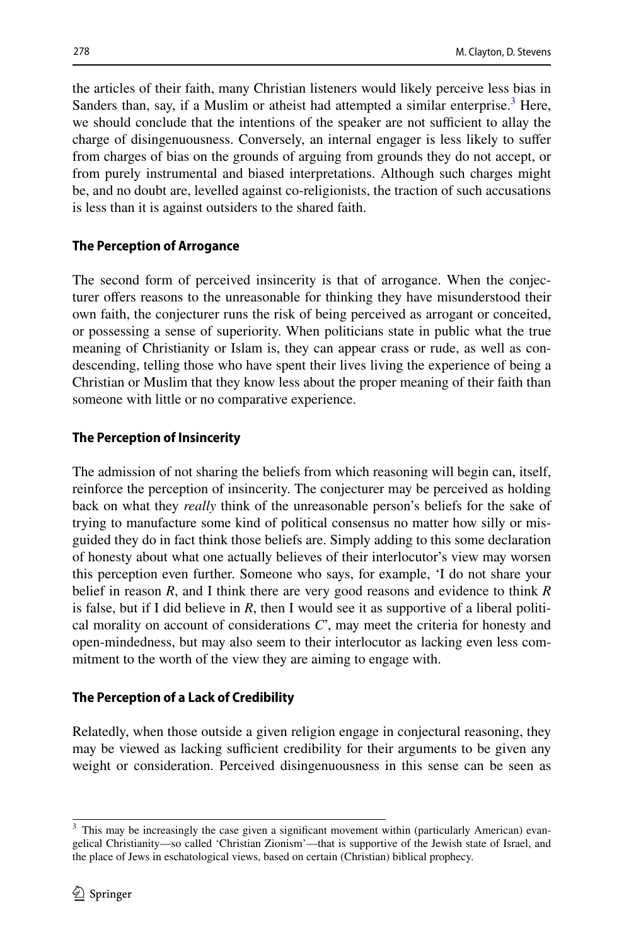the articles of their faith, many Christian listeners would likely perceive less bias in Sanders than, say, if a Muslim or atheist had attempted a similar enterprise.<sup>[3](#page-5-0)</sup> Here, we should conclude that the intentions of the speaker are not sufficient to allay the charge of disingenuousness. Conversely, an internal engager is less likely to sufer from charges of bias on the grounds of arguing from grounds they do not accept, or from purely instrumental and biased interpretations. Although such charges might be, and no doubt are, levelled against co-religionists, the traction of such accusations is less than it is against outsiders to the shared faith.

# **The Perception of Arrogance**

The second form of perceived insincerity is that of arrogance. When the conjecturer offers reasons to the unreasonable for thinking they have misunderstood their own faith, the conjecturer runs the risk of being perceived as arrogant or conceited, or possessing a sense of superiority. When politicians state in public what the true meaning of Christianity or Islam is, they can appear crass or rude, as well as condescending, telling those who have spent their lives living the experience of being a Christian or Muslim that they know less about the proper meaning of their faith than someone with little or no comparative experience.

# **The Perception of Insincerity**

The admission of not sharing the beliefs from which reasoning will begin can, itself, reinforce the perception of insincerity. The conjecturer may be perceived as holding back on what they *really* think of the unreasonable person's beliefs for the sake of trying to manufacture some kind of political consensus no matter how silly or misguided they do in fact think those beliefs are. Simply adding to this some declaration of honesty about what one actually believes of their interlocutor's view may worsen this perception even further. Someone who says, for example, 'I do not share your belief in reason *R*, and I think there are very good reasons and evidence to think *R* is false, but if I did believe in *R*, then I would see it as supportive of a liberal political morality on account of considerations *C*', may meet the criteria for honesty and open-mindedness, but may also seem to their interlocutor as lacking even less commitment to the worth of the view they are aiming to engage with.

## **The Perception of a Lack of Credibility**

Relatedly, when those outside a given religion engage in conjectural reasoning, they may be viewed as lacking sufficient credibility for their arguments to be given any weight or consideration. Perceived disingenuousness in this sense can be seen as

<span id="page-5-0"></span><sup>&</sup>lt;sup>3</sup> This may be increasingly the case given a significant movement within (particularly American) evangelical Christianity—so called 'Christian Zionism'—that is supportive of the Jewish state of Israel, and the place of Jews in eschatological views, based on certain (Christian) biblical prophecy.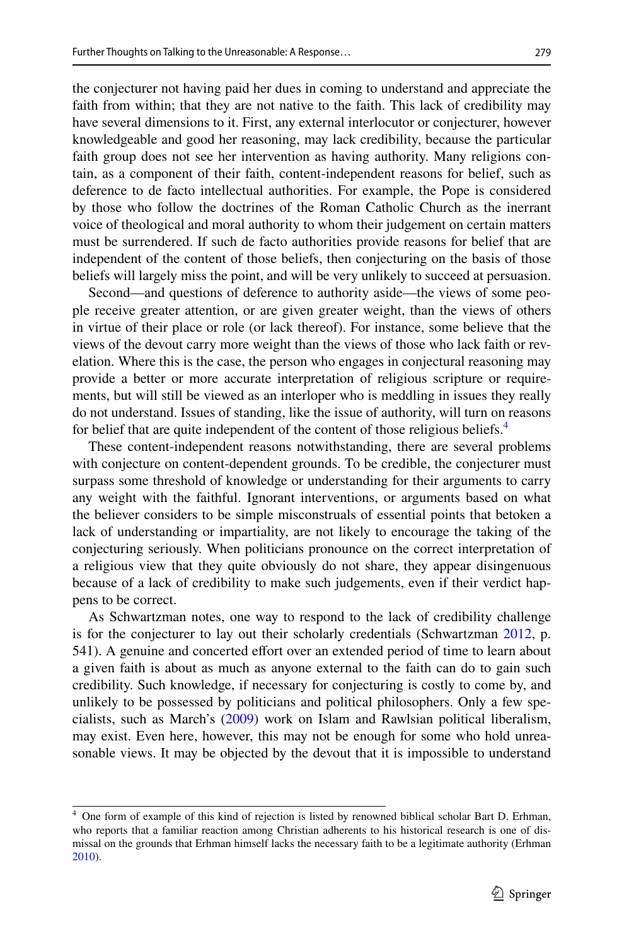the conjecturer not having paid her dues in coming to understand and appreciate the faith from within; that they are not native to the faith. This lack of credibility may have several dimensions to it. First, any external interlocutor or conjecturer, however knowledgeable and good her reasoning, may lack credibility, because the particular faith group does not see her intervention as having authority. Many religions contain, as a component of their faith, content-independent reasons for belief, such as deference to de facto intellectual authorities. For example, the Pope is considered by those who follow the doctrines of the Roman Catholic Church as the inerrant voice of theological and moral authority to whom their judgement on certain matters must be surrendered. If such de facto authorities provide reasons for belief that are independent of the content of those beliefs, then conjecturing on the basis of those beliefs will largely miss the point, and will be very unlikely to succeed at persuasion.

Second—and questions of deference to authority aside—the views of some people receive greater attention, or are given greater weight, than the views of others in virtue of their place or role (or lack thereof). For instance, some believe that the views of the devout carry more weight than the views of those who lack faith or revelation. Where this is the case, the person who engages in conjectural reasoning may provide a better or more accurate interpretation of religious scripture or requirements, but will still be viewed as an interloper who is meddling in issues they really do not understand. Issues of standing, like the issue of authority, will turn on reasons for belief that are quite independent of the content of those religious beliefs.<sup>[4](#page-6-0)</sup>

These content-independent reasons notwithstanding, there are several problems with conjecture on content-dependent grounds. To be credible, the conjecturer must surpass some threshold of knowledge or understanding for their arguments to carry any weight with the faithful. Ignorant interventions, or arguments based on what the believer considers to be simple misconstruals of essential points that betoken a lack of understanding or impartiality, are not likely to encourage the taking of the conjecturing seriously. When politicians pronounce on the correct interpretation of a religious view that they quite obviously do not share, they appear disingenuous because of a lack of credibility to make such judgements, even if their verdict happens to be correct.

As Schwartzman notes, one way to respond to the lack of credibility challenge is for the conjecturer to lay out their scholarly credentials (Schwartzman [2012,](#page-8-8) p. 541). A genuine and concerted efort over an extended period of time to learn about a given faith is about as much as anyone external to the faith can do to gain such credibility. Such knowledge, if necessary for conjecturing is costly to come by, and unlikely to be possessed by politicians and political philosophers. Only a few specialists, such as March's ([2009\)](#page-8-9) work on Islam and Rawlsian political liberalism, may exist. Even here, however, this may not be enough for some who hold unreasonable views. It may be objected by the devout that it is impossible to understand

<span id="page-6-0"></span><sup>&</sup>lt;sup>4</sup> One form of example of this kind of rejection is listed by renowned biblical scholar Bart D. Erhman, who reports that a familiar reaction among Christian adherents to his historical research is one of dismissal on the grounds that Erhman himself lacks the necessary faith to be a legitimate authority (Erhman [2010](#page-8-10)).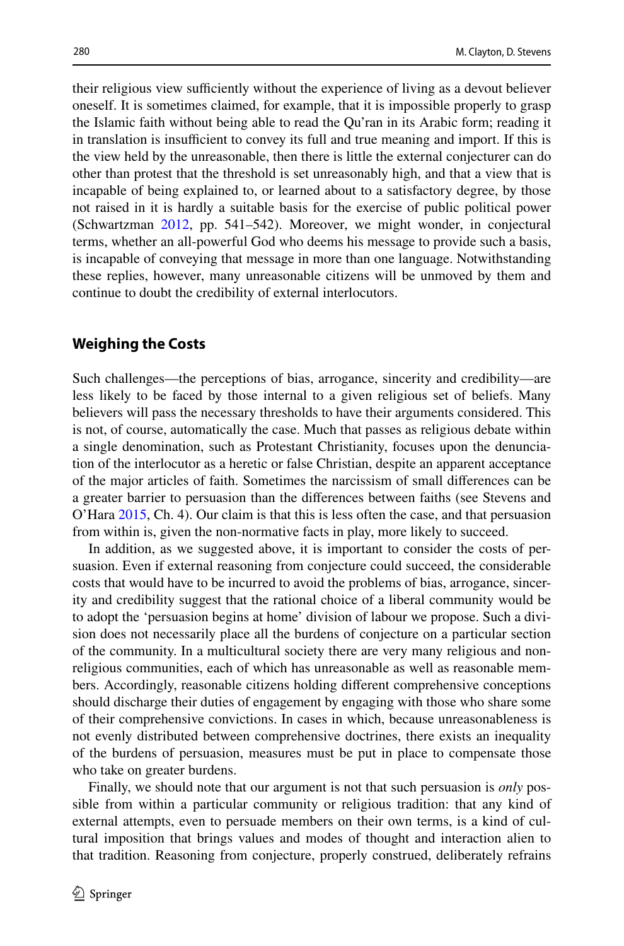their religious view sufficiently without the experience of living as a devout believer oneself. It is sometimes claimed, for example, that it is impossible properly to grasp the Islamic faith without being able to read the Qu'ran in its Arabic form; reading it in translation is insufficient to convey its full and true meaning and import. If this is the view held by the unreasonable, then there is little the external conjecturer can do other than protest that the threshold is set unreasonably high, and that a view that is incapable of being explained to, or learned about to a satisfactory degree, by those not raised in it is hardly a suitable basis for the exercise of public political power (Schwartzman [2012](#page-8-8), pp. 541–542). Moreover, we might wonder, in conjectural terms, whether an all-powerful God who deems his message to provide such a basis, is incapable of conveying that message in more than one language. Notwithstanding these replies, however, many unreasonable citizens will be unmoved by them and continue to doubt the credibility of external interlocutors.

### **Weighing the Costs**

Such challenges—the perceptions of bias, arrogance, sincerity and credibility—are less likely to be faced by those internal to a given religious set of beliefs. Many believers will pass the necessary thresholds to have their arguments considered. This is not, of course, automatically the case. Much that passes as religious debate within a single denomination, such as Protestant Christianity, focuses upon the denunciation of the interlocutor as a heretic or false Christian, despite an apparent acceptance of the major articles of faith. Sometimes the narcissism of small diferences can be a greater barrier to persuasion than the diferences between faiths (see Stevens and O'Hara [2015](#page-8-11), Ch. 4). Our claim is that this is less often the case, and that persuasion from within is, given the non-normative facts in play, more likely to succeed.

In addition, as we suggested above, it is important to consider the costs of persuasion. Even if external reasoning from conjecture could succeed, the considerable costs that would have to be incurred to avoid the problems of bias, arrogance, sincerity and credibility suggest that the rational choice of a liberal community would be to adopt the 'persuasion begins at home' division of labour we propose. Such a division does not necessarily place all the burdens of conjecture on a particular section of the community. In a multicultural society there are very many religious and nonreligious communities, each of which has unreasonable as well as reasonable members. Accordingly, reasonable citizens holding diferent comprehensive conceptions should discharge their duties of engagement by engaging with those who share some of their comprehensive convictions. In cases in which, because unreasonableness is not evenly distributed between comprehensive doctrines, there exists an inequality of the burdens of persuasion, measures must be put in place to compensate those who take on greater burdens.

Finally, we should note that our argument is not that such persuasion is *only* possible from within a particular community or religious tradition: that any kind of external attempts, even to persuade members on their own terms, is a kind of cultural imposition that brings values and modes of thought and interaction alien to that tradition. Reasoning from conjecture, properly construed, deliberately refrains